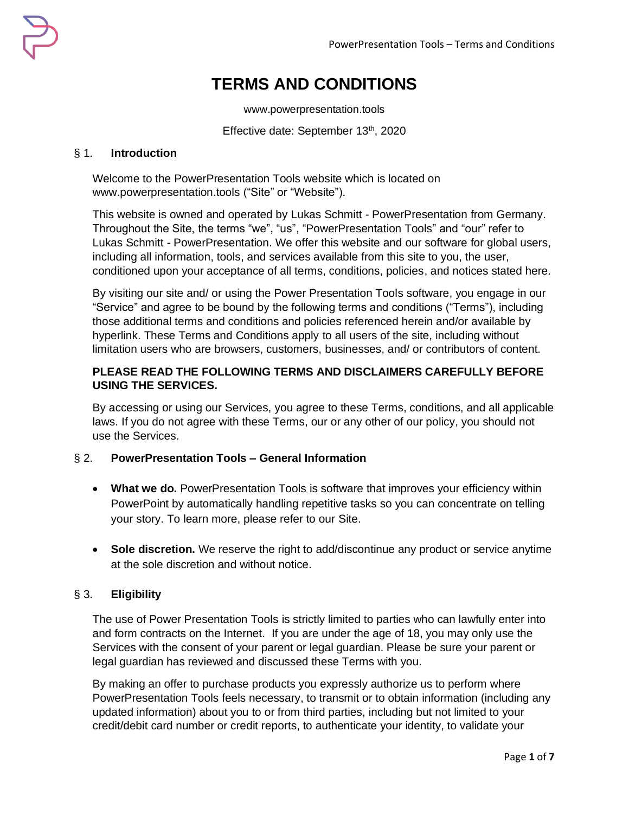# **TERMS AND CONDITIONS**

www.powerpresentation.tools

Effective date: September 13<sup>th</sup>, 2020

## § 1. **Introduction**

Welcome to the PowerPresentation Tools website which is located on www.powerpresentation.tools ("Site" or "Website").

This website is owned and operated by Lukas Schmitt - PowerPresentation from Germany. Throughout the Site, the terms "we", "us", "PowerPresentation Tools" and "our" refer to Lukas Schmitt - PowerPresentation. We offer this website and our software for global users, including all information, tools, and services available from this site to you, the user, conditioned upon your acceptance of all terms, conditions, policies, and notices stated here.

By visiting our site and/ or using the Power Presentation Tools software, you engage in our "Service" and agree to be bound by the following terms and conditions ("Terms"), including those additional terms and conditions and policies referenced herein and/or available by hyperlink. These Terms and Conditions apply to all users of the site, including without limitation users who are browsers, customers, businesses, and/ or contributors of content.

## **PLEASE READ THE FOLLOWING TERMS AND DISCLAIMERS CAREFULLY BEFORE USING THE SERVICES.**

By accessing or using our Services, you agree to these Terms, conditions, and all applicable laws. If you do not agree with these Terms, our or any other of our policy, you should not use the Services.

# § 2. **PowerPresentation Tools – General Information**

- What we do. PowerPresentation Tools is software that improves your efficiency within PowerPoint by automatically handling repetitive tasks so you can concentrate on telling your story. To learn more, please refer to our Site.
- **Sole discretion.** We reserve the right to add/discontinue any product or service anytime at the sole discretion and without notice.

# § 3. **Eligibility**

The use of Power Presentation Tools is strictly limited to parties who can lawfully enter into and form contracts on the Internet. If you are under the age of 18, you may only use the Services with the consent of your parent or legal guardian. Please be sure your parent or legal guardian has reviewed and discussed these Terms with you.

By making an offer to purchase products you expressly authorize us to perform where PowerPresentation Tools feels necessary, to transmit or to obtain information (including any updated information) about you to or from third parties, including but not limited to your credit/debit card number or credit reports, to authenticate your identity, to validate your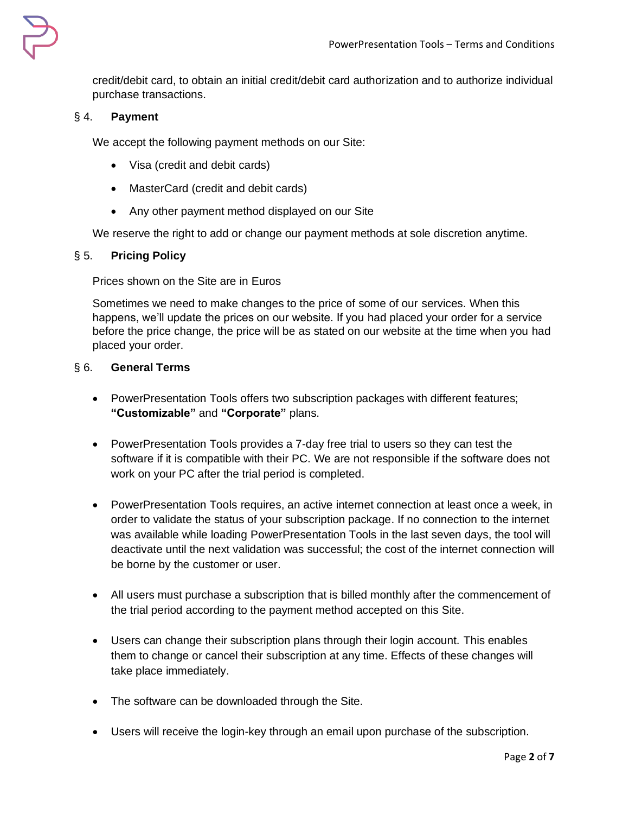

credit/debit card, to obtain an initial credit/debit card authorization and to authorize individual purchase transactions.

# § 4. **Payment**

We accept the following payment methods on our Site:

- Visa (credit and debit cards)
- MasterCard (credit and debit cards)
- Any other payment method displayed on our Site

We reserve the right to add or change our payment methods at sole discretion anytime.

# § 5. **Pricing Policy**

Prices shown on the Site are in Euros

Sometimes we need to make changes to the price of some of our services. When this happens, we'll update the prices on our website. If you had placed your order for a service before the price change, the price will be as stated on our website at the time when you had placed your order.

## § 6. **General Terms**

- PowerPresentation Tools offers two subscription packages with different features; **"Customizable"** and **"Corporate"** plans.
- PowerPresentation Tools provides a 7-day free trial to users so they can test the software if it is compatible with their PC. We are not responsible if the software does not work on your PC after the trial period is completed.
- PowerPresentation Tools requires, an active internet connection at least once a week, in order to validate the status of your subscription package. If no connection to the internet was available while loading PowerPresentation Tools in the last seven days, the tool will deactivate until the next validation was successful; the cost of the internet connection will be borne by the customer or user.
- All users must purchase a subscription that is billed monthly after the commencement of the trial period according to the payment method accepted on this Site.
- Users can change their subscription plans through their login account. This enables them to change or cancel their subscription at any time. Effects of these changes will take place immediately.
- The software can be downloaded through the Site.
- Users will receive the login-key through an email upon purchase of the subscription.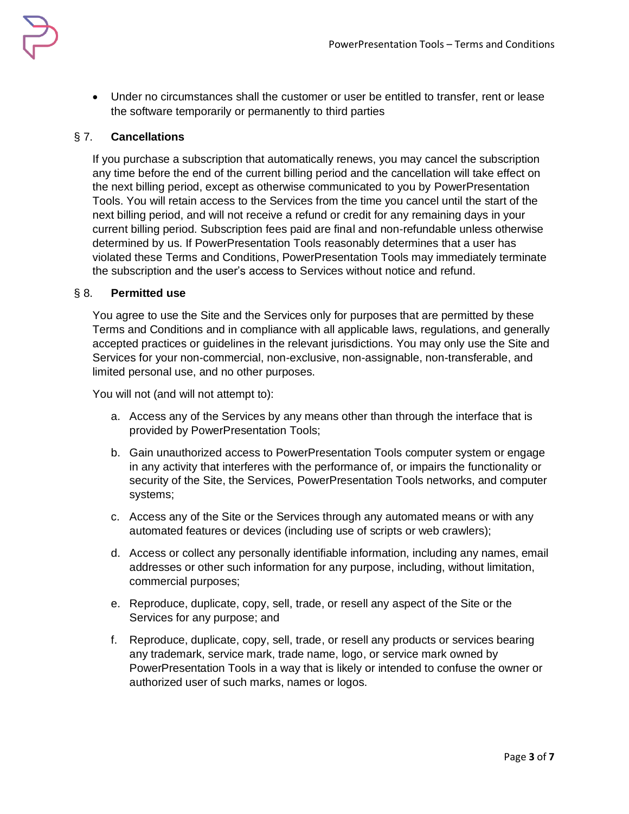

• Under no circumstances shall the customer or user be entitled to transfer, rent or lease the software temporarily or permanently to third parties

# § 7. **Cancellations**

If you purchase a subscription that automatically renews, you may cancel the subscription any time before the end of the current billing period and the cancellation will take effect on the next billing period, except as otherwise communicated to you by PowerPresentation Tools. You will retain access to the Services from the time you cancel until the start of the next billing period, and will not receive a refund or credit for any remaining days in your current billing period. Subscription fees paid are final and non-refundable unless otherwise determined by us. If PowerPresentation Tools reasonably determines that a user has violated these Terms and Conditions, PowerPresentation Tools may immediately terminate the subscription and the user's access to Services without notice and refund.

#### § 8. **Permitted use**

You agree to use the Site and the Services only for purposes that are permitted by these Terms and Conditions and in compliance with all applicable laws, regulations, and generally accepted practices or guidelines in the relevant jurisdictions. You may only use the Site and Services for your non-commercial, non-exclusive, non-assignable, non-transferable, and limited personal use, and no other purposes.

You will not (and will not attempt to):

- a. Access any of the Services by any means other than through the interface that is provided by PowerPresentation Tools;
- b. Gain unauthorized access to PowerPresentation Tools computer system or engage in any activity that interferes with the performance of, or impairs the functionality or security of the Site, the Services, PowerPresentation Tools networks, and computer systems;
- c. Access any of the Site or the Services through any automated means or with any automated features or devices (including use of scripts or web crawlers);
- d. Access or collect any personally identifiable information, including any names, email addresses or other such information for any purpose, including, without limitation, commercial purposes;
- e. Reproduce, duplicate, copy, sell, trade, or resell any aspect of the Site or the Services for any purpose; and
- f. Reproduce, duplicate, copy, sell, trade, or resell any products or services bearing any trademark, service mark, trade name, logo, or service mark owned by PowerPresentation Tools in a way that is likely or intended to confuse the owner or authorized user of such marks, names or logos.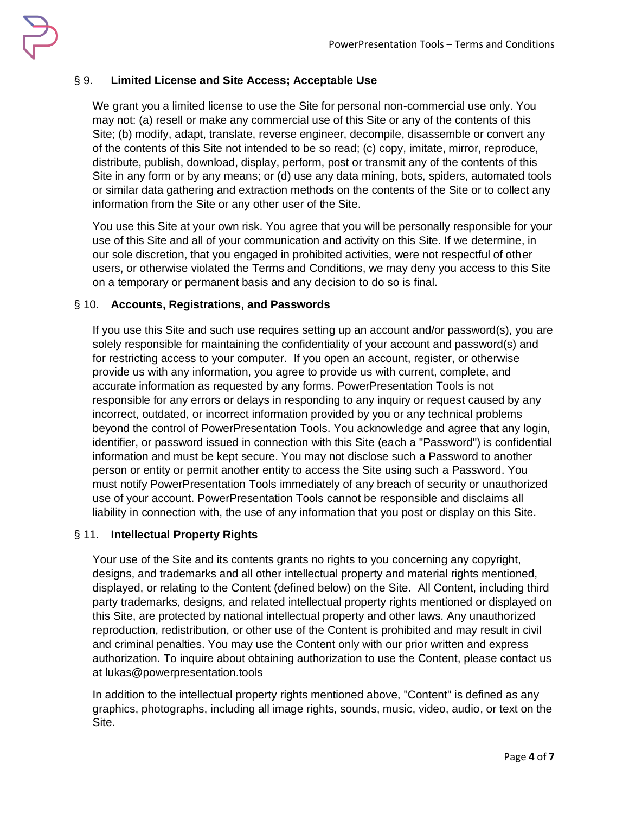

# § 9. **Limited License and Site Access; Acceptable Use**

We grant you a limited license to use the Site for personal non-commercial use only. You may not: (a) resell or make any commercial use of this Site or any of the contents of this Site; (b) modify, adapt, translate, reverse engineer, decompile, disassemble or convert any of the contents of this Site not intended to be so read; (c) copy, imitate, mirror, reproduce, distribute, publish, download, display, perform, post or transmit any of the contents of this Site in any form or by any means; or (d) use any data mining, bots, spiders, automated tools or similar data gathering and extraction methods on the contents of the Site or to collect any information from the Site or any other user of the Site.

You use this Site at your own risk. You agree that you will be personally responsible for your use of this Site and all of your communication and activity on this Site. If we determine, in our sole discretion, that you engaged in prohibited activities, were not respectful of other users, or otherwise violated the Terms and Conditions, we may deny you access to this Site on a temporary or permanent basis and any decision to do so is final.

# § 10. **Accounts, Registrations, and Passwords**

If you use this Site and such use requires setting up an account and/or password(s), you are solely responsible for maintaining the confidentiality of your account and password(s) and for restricting access to your computer. If you open an account, register, or otherwise provide us with any information, you agree to provide us with current, complete, and accurate information as requested by any forms. PowerPresentation Tools is not responsible for any errors or delays in responding to any inquiry or request caused by any incorrect, outdated, or incorrect information provided by you or any technical problems beyond the control of PowerPresentation Tools. You acknowledge and agree that any login, identifier, or password issued in connection with this Site (each a "Password") is confidential information and must be kept secure. You may not disclose such a Password to another person or entity or permit another entity to access the Site using such a Password. You must notify PowerPresentation Tools immediately of any breach of security or unauthorized use of your account. PowerPresentation Tools cannot be responsible and disclaims all liability in connection with, the use of any information that you post or display on this Site.

## § 11. **Intellectual Property Rights**

Your use of the Site and its contents grants no rights to you concerning any copyright, designs, and trademarks and all other intellectual property and material rights mentioned, displayed, or relating to the Content (defined below) on the Site. All Content, including third party trademarks, designs, and related intellectual property rights mentioned or displayed on this Site, are protected by national intellectual property and other laws. Any unauthorized reproduction, redistribution, or other use of the Content is prohibited and may result in civil and criminal penalties. You may use the Content only with our prior written and express authorization. To inquire about obtaining authorization to use the Content, please contact us at lukas@powerpresentation.tools

In addition to the intellectual property rights mentioned above, "Content" is defined as any graphics, photographs, including all image rights, sounds, music, video, audio, or text on the Site.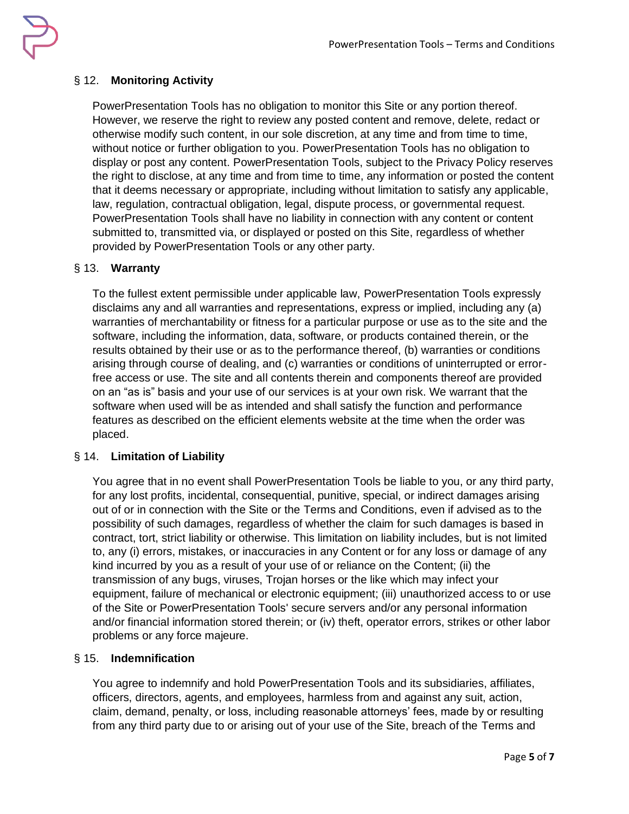

# § 12. **Monitoring Activity**

PowerPresentation Tools has no obligation to monitor this Site or any portion thereof. However, we reserve the right to review any posted content and remove, delete, redact or otherwise modify such content, in our sole discretion, at any time and from time to time, without notice or further obligation to you. PowerPresentation Tools has no obligation to display or post any content. PowerPresentation Tools, subject to the Privacy Policy reserves the right to disclose, at any time and from time to time, any information or posted the content that it deems necessary or appropriate, including without limitation to satisfy any applicable, law, regulation, contractual obligation, legal, dispute process, or governmental request. PowerPresentation Tools shall have no liability in connection with any content or content submitted to, transmitted via, or displayed or posted on this Site, regardless of whether provided by PowerPresentation Tools or any other party.

# § 13. **Warranty**

To the fullest extent permissible under applicable law, PowerPresentation Tools expressly disclaims any and all warranties and representations, express or implied, including any (a) warranties of merchantability or fitness for a particular purpose or use as to the site and the software, including the information, data, software, or products contained therein, or the results obtained by their use or as to the performance thereof, (b) warranties or conditions arising through course of dealing, and (c) warranties or conditions of uninterrupted or errorfree access or use. The site and all contents therein and components thereof are provided on an "as is" basis and your use of our services is at your own risk. We warrant that the software when used will be as intended and shall satisfy the function and performance features as described on the efficient elements website at the time when the order was placed.

## § 14. **Limitation of Liability**

You agree that in no event shall PowerPresentation Tools be liable to you, or any third party, for any lost profits, incidental, consequential, punitive, special, or indirect damages arising out of or in connection with the Site or the Terms and Conditions, even if advised as to the possibility of such damages, regardless of whether the claim for such damages is based in contract, tort, strict liability or otherwise. This limitation on liability includes, but is not limited to, any (i) errors, mistakes, or inaccuracies in any Content or for any loss or damage of any kind incurred by you as a result of your use of or reliance on the Content; (ii) the transmission of any bugs, viruses, Trojan horses or the like which may infect your equipment, failure of mechanical or electronic equipment; (iii) unauthorized access to or use of the Site or PowerPresentation Tools' secure servers and/or any personal information and/or financial information stored therein; or (iv) theft, operator errors, strikes or other labor problems or any force majeure.

## § 15. **Indemnification**

You agree to indemnify and hold PowerPresentation Tools and its subsidiaries, affiliates, officers, directors, agents, and employees, harmless from and against any suit, action, claim, demand, penalty, or loss, including reasonable attorneys' fees, made by or resulting from any third party due to or arising out of your use of the Site, breach of the Terms and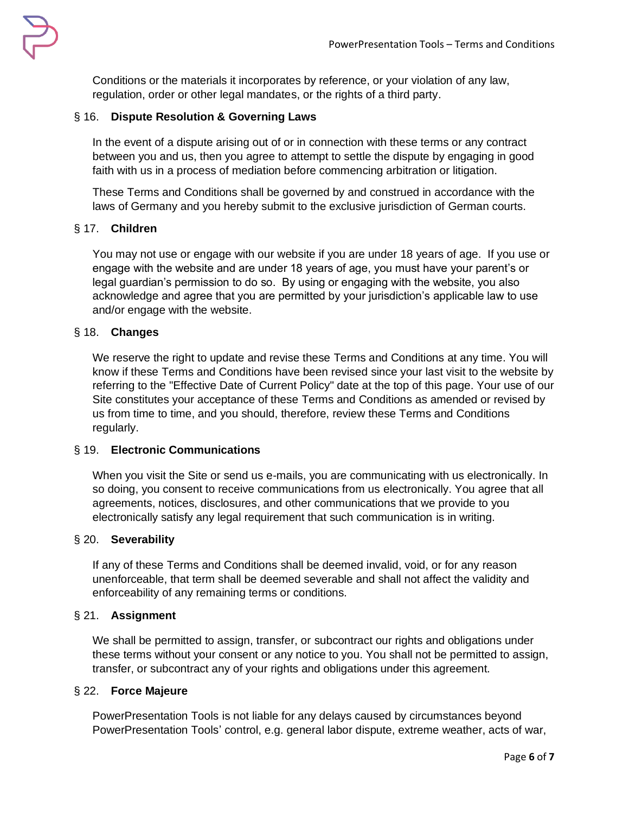

Conditions or the materials it incorporates by reference, or your violation of any law, regulation, order or other legal mandates, or the rights of a third party.

## § 16. **Dispute Resolution & Governing Laws**

In the event of a dispute arising out of or in connection with these terms or any contract between you and us, then you agree to attempt to settle the dispute by engaging in good faith with us in a process of mediation before commencing arbitration or litigation.

These Terms and Conditions shall be governed by and construed in accordance with the laws of Germany and you hereby submit to the exclusive jurisdiction of German courts.

## § 17. **Children**

You may not use or engage with our website if you are under 18 years of age. If you use or engage with the website and are under 18 years of age, you must have your parent's or legal guardian's permission to do so. By using or engaging with the website, you also acknowledge and agree that you are permitted by your jurisdiction's applicable law to use and/or engage with the website.

## § 18. **Changes**

We reserve the right to update and revise these Terms and Conditions at any time. You will know if these Terms and Conditions have been revised since your last visit to the website by referring to the "Effective Date of Current Policy" date at the top of this page. Your use of our Site constitutes your acceptance of these Terms and Conditions as amended or revised by us from time to time, and you should, therefore, review these Terms and Conditions regularly.

## § 19. **Electronic Communications**

When you visit the Site or send us e-mails, you are communicating with us electronically. In so doing, you consent to receive communications from us electronically. You agree that all agreements, notices, disclosures, and other communications that we provide to you electronically satisfy any legal requirement that such communication is in writing.

#### § 20. **Severability**

If any of these Terms and Conditions shall be deemed invalid, void, or for any reason unenforceable, that term shall be deemed severable and shall not affect the validity and enforceability of any remaining terms or conditions.

#### § 21. **Assignment**

We shall be permitted to assign, transfer, or subcontract our rights and obligations under these terms without your consent or any notice to you. You shall not be permitted to assign, transfer, or subcontract any of your rights and obligations under this agreement.

#### § 22. **Force Majeure**

PowerPresentation Tools is not liable for any delays caused by circumstances beyond PowerPresentation Tools' control, e.g. general labor dispute, extreme weather, acts of war,